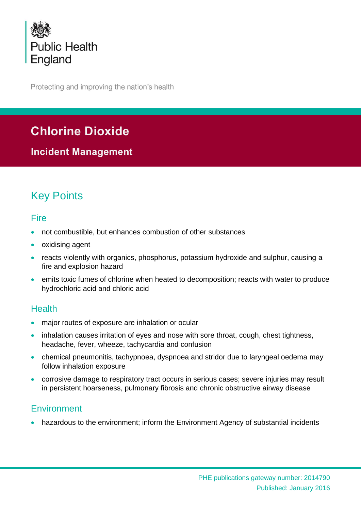

Protecting and improving the nation's health

# **Chlorine Dioxide**

**Incident Management**

# Key Points

## Fire

- not combustible, but enhances combustion of other substances
- oxidising agent
- reacts violently with organics, phosphorus, potassium hydroxide and sulphur, causing a fire and explosion hazard
- emits toxic fumes of chlorine when heated to decomposition; reacts with water to produce hydrochloric acid and chloric acid

## Health

- major routes of exposure are inhalation or ocular
- inhalation causes irritation of eyes and nose with sore throat, cough, chest tightness, headache, fever, wheeze, tachycardia and confusion
- chemical pneumonitis, tachypnoea, dyspnoea and stridor due to laryngeal oedema may follow inhalation exposure
- corrosive damage to respiratory tract occurs in serious cases; severe injuries may result in persistent hoarseness, pulmonary fibrosis and chronic obstructive airway disease

## **Environment**

hazardous to the environment; inform the Environment Agency of substantial incidents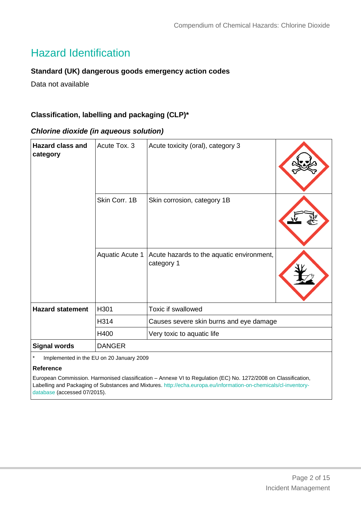# Hazard Identification

#### **Standard (UK) dangerous goods emergency action codes**

Data not available

#### **Classification, labelling and packaging (CLP)\***

#### *Chlorine dioxide (in aqueous solution)*

| <b>Hazard class and</b><br>category | Acute Tox. 3                             | Acute toxicity (oral), category 3                       |  |
|-------------------------------------|------------------------------------------|---------------------------------------------------------|--|
|                                     | Skin Corr. 1B                            | Skin corrosion, category 1B                             |  |
|                                     | <b>Aquatic Acute 1</b>                   | Acute hazards to the aquatic environment,<br>category 1 |  |
| <b>Hazard statement</b>             | H301                                     | Toxic if swallowed                                      |  |
|                                     | H314                                     | Causes severe skin burns and eye damage                 |  |
|                                     | H400                                     | Very toxic to aquatic life                              |  |
| <b>Signal words</b>                 | <b>DANGER</b>                            |                                                         |  |
| $\star$                             | Implemented in the EU on 20 January 2009 |                                                         |  |

#### **Reference**

European Commission. Harmonised classification – Annexe VI to Regulation (EC) No. 1272/2008 on Classification, Labelling and Packaging of Substances and Mixtures. [http://echa.europa.eu/information-on-chemicals/cl-inventory](http://echa.europa.eu/information-on-chemicals/cl-inventory-database)[database](http://echa.europa.eu/information-on-chemicals/cl-inventory-database) (accessed 07/2015).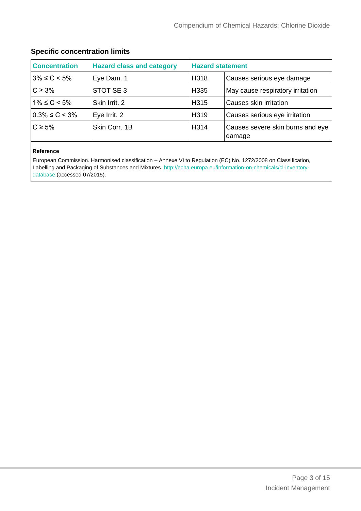### **Specific concentration limits**

| <b>Concentration</b> | <b>Hazard class and category</b> | <b>Hazard statement</b> |                                            |
|----------------------|----------------------------------|-------------------------|--------------------------------------------|
| $3\% \le C < 5\%$    | Eye Dam. 1                       | H318                    | Causes serious eye damage                  |
| $C \geq 3\%$         | STOT SE 3                        | H335                    | May cause respiratory irritation           |
| $1\% \le C < 5\%$    | Skin Irrit, 2                    | H315                    | Causes skin irritation                     |
| $0.3\% \leq C < 3\%$ | Eye Irrit. 2                     | H319                    | Causes serious eye irritation              |
| $C \geq 5\%$         | Skin Corr, 1B                    | H314                    | Causes severe skin burns and eye<br>damage |

#### **Reference**

European Commission. Harmonised classification – Annexe VI to Regulation (EC) No. 1272/2008 on Classification, Labelling and Packaging of Substances and Mixtures. [http://echa.europa.eu/information-on-chemicals/cl-inventory](http://echa.europa.eu/information-on-chemicals/cl-inventory-database)[database](http://echa.europa.eu/information-on-chemicals/cl-inventory-database) (accessed 07/2015).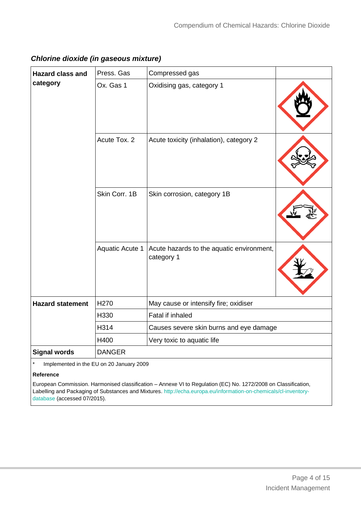*Chlorine dioxide (in gaseous mixture)*

| <b>Hazard class and</b><br>category | Press. Gas             | Compressed gas                                          |  |
|-------------------------------------|------------------------|---------------------------------------------------------|--|
|                                     | Ox. Gas 1              | Oxidising gas, category 1                               |  |
|                                     | Acute Tox. 2           | Acute toxicity (inhalation), category 2                 |  |
|                                     | Skin Corr. 1B          | Skin corrosion, category 1B                             |  |
|                                     | <b>Aquatic Acute 1</b> | Acute hazards to the aquatic environment,<br>category 1 |  |
| <b>Hazard statement</b>             | H <sub>270</sub>       | May cause or intensify fire; oxidiser                   |  |
|                                     | H330                   | Fatal if inhaled                                        |  |
|                                     | H314                   | Causes severe skin burns and eye damage                 |  |
|                                     | H400                   | Very toxic to aquatic life                              |  |
| <b>Signal words</b>                 | <b>DANGER</b>          |                                                         |  |

Implemented in the EU on 20 January 2009

#### **Reference**

European Commission. Harmonised classification – Annexe VI to Regulation (EC) No. 1272/2008 on Classification, Labelling and Packaging of Substances and Mixtures. [http://echa.europa.eu/information-on-chemicals/cl-inventory](http://echa.europa.eu/information-on-chemicals/cl-inventory-database)[database](http://echa.europa.eu/information-on-chemicals/cl-inventory-database) (accessed 07/2015).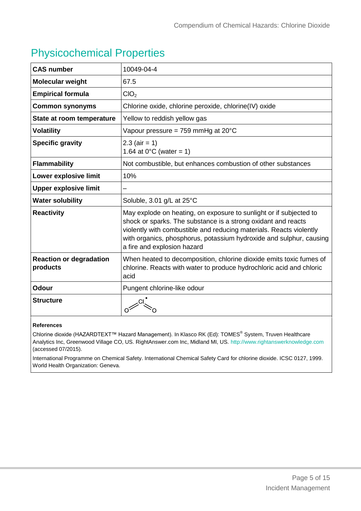# Physicochemical Properties

| <b>CAS number</b>                          | 10049-04-4                                                                                                                                                                                                                                                                                                       |
|--------------------------------------------|------------------------------------------------------------------------------------------------------------------------------------------------------------------------------------------------------------------------------------------------------------------------------------------------------------------|
| Molecular weight                           | 67.5                                                                                                                                                                                                                                                                                                             |
| <b>Empirical formula</b>                   | ClO <sub>2</sub>                                                                                                                                                                                                                                                                                                 |
| <b>Common synonyms</b>                     | Chlorine oxide, chlorine peroxide, chlorine(IV) oxide                                                                                                                                                                                                                                                            |
| State at room temperature                  | Yellow to reddish yellow gas                                                                                                                                                                                                                                                                                     |
| <b>Volatility</b>                          | Vapour pressure = 759 mmHg at 20 $^{\circ}$ C                                                                                                                                                                                                                                                                    |
| <b>Specific gravity</b>                    | $2.3$ (air = 1)<br>1.64 at $0^{\circ}$ C (water = 1)                                                                                                                                                                                                                                                             |
| <b>Flammability</b>                        | Not combustible, but enhances combustion of other substances                                                                                                                                                                                                                                                     |
| Lower explosive limit                      | 10%                                                                                                                                                                                                                                                                                                              |
| <b>Upper explosive limit</b>               |                                                                                                                                                                                                                                                                                                                  |
| <b>Water solubility</b>                    | Soluble, 3.01 g/L at 25°C                                                                                                                                                                                                                                                                                        |
| <b>Reactivity</b>                          | May explode on heating, on exposure to sunlight or if subjected to<br>shock or sparks. The substance is a strong oxidant and reacts<br>violently with combustible and reducing materials. Reacts violently<br>with organics, phosphorus, potassium hydroxide and sulphur, causing<br>a fire and explosion hazard |
| <b>Reaction or degradation</b><br>products | When heated to decomposition, chlorine dioxide emits toxic fumes of<br>chlorine. Reacts with water to produce hydrochloric acid and chloric<br>acid                                                                                                                                                              |
| <b>Odour</b>                               | Pungent chlorine-like odour                                                                                                                                                                                                                                                                                      |
| <b>Structure</b>                           |                                                                                                                                                                                                                                                                                                                  |

#### **References**

Chlorine dioxide (HAZARDTEXT™ Hazard Management). In Klasco RK (Ed): TOMES<sup>®</sup> System, Truven Healthcare Analytics Inc, Greenwood Village CO, US. RightAnswer.com Inc, Midland MI, US. [http://www.rightanswerknowledge.com](http://www.rightanswerknowledge.com/) (accessed 07/2015).

International Programme on Chemical Safety. International Chemical Safety Card for chlorine dioxide. ICSC 0127, 1999. World Health Organization: Geneva.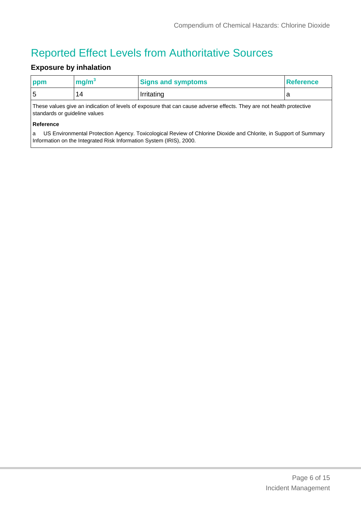# Reported Effect Levels from Authoritative Sources

## **Exposure by inhalation**

| ppm                                                                                                                                                                                          | mg/m <sup>3</sup> | <b>Signs and symptoms</b> | <b>Reference</b> |  |
|----------------------------------------------------------------------------------------------------------------------------------------------------------------------------------------------|-------------------|---------------------------|------------------|--|
| 5                                                                                                                                                                                            | 14                | Irritating                | a                |  |
| These values give an indication of levels of exposure that can cause adverse effects. They are not health protective<br>standards or guideline values                                        |                   |                           |                  |  |
| Reference                                                                                                                                                                                    |                   |                           |                  |  |
| US Environmental Protection Agency. Toxicological Review of Chlorine Dioxide and Chlorite, in Support of Summary<br>a<br>Information on the Integrated Risk Information System (IRIS), 2000. |                   |                           |                  |  |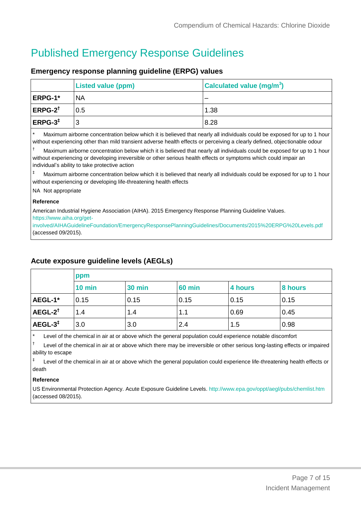# Published Emergency Response Guidelines

#### **Emergency response planning guideline (ERPG) values**

|                    | <b>Listed value (ppm)</b> | <b>Calculated value (mg/m<sup>3</sup>)</b> |
|--------------------|---------------------------|--------------------------------------------|
| <b>ERPG-1*</b>     | <b>NA</b>                 |                                            |
| $ERPG-2^{\dagger}$ | 0.5                       | 1.38                                       |
| $ERPG-3‡$          | 3                         | 8.28                                       |

Maximum airborne concentration below which it is believed that nearly all individuals could be exposed for up to 1 hour without experiencing other than mild transient adverse health effects or perceiving a clearly defined, objectionable odour

† Maximum airborne concentration below which it is believed that nearly all individuals could be exposed for up to 1 hour without experiencing or developing irreversible or other serious health effects or symptoms which could impair an individual's ability to take protective action

Maximum airborne concentration below which it is believed that nearly all individuals could be exposed for up to 1 hour without experiencing or developing life-threatening health effects

NA Not appropriate

#### **Reference**

American Industrial Hygiene Association (AIHA). 2015 Emergency Response Planning Guideline Values. [https://www.aiha.org/get-](https://www.aiha.org/get-involved/AIHAGuidelineFoundation/EmergencyResponsePlanningGuidelines/Documents/2015%20ERPG%20Levels.pdf)

[involved/AIHAGuidelineFoundation/EmergencyResponsePlanningGuidelines/Documents/2015%20ERPG%20Levels.pdf](https://www.aiha.org/get-involved/AIHAGuidelineFoundation/EmergencyResponsePlanningGuidelines/Documents/2015%20ERPG%20Levels.pdf) (accessed 09/2015).

#### **Acute exposure guideline levels (AEGLs)**

|                    | ppm    |               |               |         |         |
|--------------------|--------|---------------|---------------|---------|---------|
|                    | 10 min | <b>30 min</b> | <b>60 min</b> | 4 hours | 8 hours |
| <b>AEGL-1*</b>     | 0.15   | 0.15          | 0.15          | 0.15    | 0.15    |
| $AEGL-2^{\dagger}$ | 1.4    | 1.4           | 1.1           | 0.69    | 0.45    |
| $AEGL-3^+$         | 3.0    | 3.0           | 2.4           | 1.5     | 0.98    |

Level of the chemical in air at or above which the general population could experience notable discomfort

† Level of the chemical in air at or above which there may be irreversible or other serious long-lasting effects or impaired ability to escape

‡ Level of the chemical in air at or above which the general population could experience life-threatening health effects or death

#### **Reference**

US Environmental Protection Agency. Acute Exposure Guideline Levels. <http://www.epa.gov/oppt/aegl/pubs/chemlist.htm> (accessed 08/2015).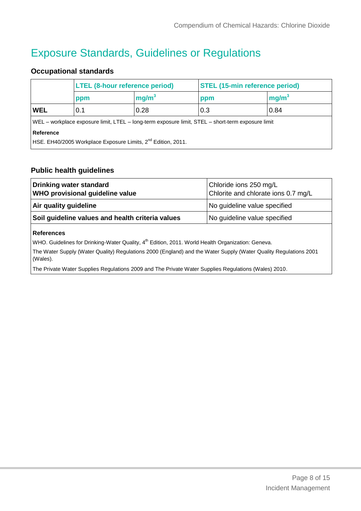# Exposure Standards, Guidelines or Regulations

#### **Occupational standards**

|                                                                                                   | <b>LTEL (8-hour reference period)</b> |                   | <b>STEL (15-min reference period)</b> |                   |
|---------------------------------------------------------------------------------------------------|---------------------------------------|-------------------|---------------------------------------|-------------------|
|                                                                                                   | ppm                                   | mg/m <sup>3</sup> | ppm                                   | mg/m <sup>3</sup> |
| WEL                                                                                               | 0.1                                   | 0.28              | 0.3                                   | 0.84              |
| WEL – workplace exposure limit, LTEL – long-term exposure limit, STEL – short-term exposure limit |                                       |                   |                                       |                   |
| Reference                                                                                         |                                       |                   |                                       |                   |
| HSE. EH40/2005 Workplace Exposure Limits, 2 <sup>nd</sup> Edition, 2011.                          |                                       |                   |                                       |                   |

#### **Public health guidelines**

| Drinking water standard<br><b>WHO provisional guideline value</b> | Chloride ions 250 mg/L<br>Chlorite and chlorate ions 0.7 mg/L |  |
|-------------------------------------------------------------------|---------------------------------------------------------------|--|
| Air quality guideline                                             | No guideline value specified                                  |  |
| Soil guideline values and health criteria values                  | No guideline value specified                                  |  |
|                                                                   |                                                               |  |

#### **References**

WHO. Guidelines for Drinking-Water Quality, 4<sup>th</sup> Edition, 2011. World Health Organization: Geneva.

The Water Supply (Water Quality) Regulations 2000 (England) and the Water Supply (Water Quality Regulations 2001 (Wales).

The Private Water Supplies Regulations 2009 and The Private Water Supplies Regulations (Wales) 2010.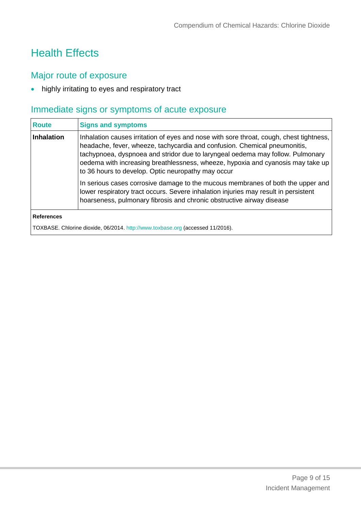# Health Effects

# Major route of exposure

• highly irritating to eyes and respiratory tract

# Immediate signs or symptoms of acute exposure

| <b>Route</b>      | <b>Signs and symptoms</b>                                                                                                                                                                                                                                                                                                                                                                       |
|-------------------|-------------------------------------------------------------------------------------------------------------------------------------------------------------------------------------------------------------------------------------------------------------------------------------------------------------------------------------------------------------------------------------------------|
| Inhalation        | Inhalation causes irritation of eyes and nose with sore throat, cough, chest tightness,<br>headache, fever, wheeze, tachycardia and confusion. Chemical pneumonitis,<br>tachypnoea, dyspnoea and stridor due to laryngeal oedema may follow. Pulmonary<br>oedema with increasing breathlessness, wheeze, hypoxia and cyanosis may take up<br>to 36 hours to develop. Optic neuropathy may occur |
|                   | In serious cases corrosive damage to the mucous membranes of both the upper and<br>lower respiratory tract occurs. Severe inhalation injuries may result in persistent<br>hoarseness, pulmonary fibrosis and chronic obstructive airway disease                                                                                                                                                 |
| <b>References</b> |                                                                                                                                                                                                                                                                                                                                                                                                 |
|                   | TOXBASE. Chlorine dioxide, 06/2014. http://www.toxbase.org (accessed 11/2016).                                                                                                                                                                                                                                                                                                                  |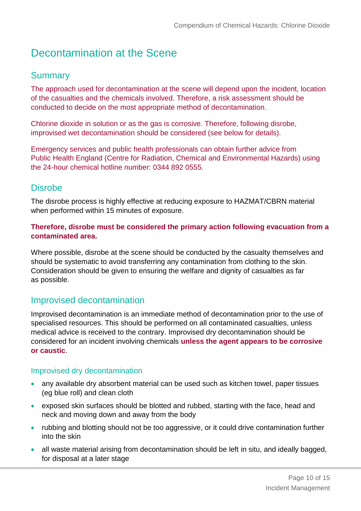# Decontamination at the Scene

## **Summary**

The approach used for decontamination at the scene will depend upon the incident, location of the casualties and the chemicals involved. Therefore, a risk assessment should be conducted to decide on the most appropriate method of decontamination.

Chlorine dioxide in solution or as the gas is corrosive. Therefore, following disrobe, improvised wet decontamination should be considered (see below for details).

Emergency services and public health professionals can obtain further advice from Public Health England (Centre for Radiation, Chemical and Environmental Hazards) using the 24-hour chemical hotline number: 0344 892 0555.

### **Disrobe**

The disrobe process is highly effective at reducing exposure to HAZMAT/CBRN material when performed within 15 minutes of exposure.

#### **Therefore, disrobe must be considered the primary action following evacuation from a contaminated area.**

Where possible, disrobe at the scene should be conducted by the casualty themselves and should be systematic to avoid transferring any contamination from clothing to the skin. Consideration should be given to ensuring the welfare and dignity of casualties as far as possible.

## Improvised decontamination

Improvised decontamination is an immediate method of decontamination prior to the use of specialised resources. This should be performed on all contaminated casualties, unless medical advice is received to the contrary. Improvised dry decontamination should be considered for an incident involving chemicals **unless the agent appears to be corrosive or caustic**.

#### Improvised dry decontamination

- any available dry absorbent material can be used such as kitchen towel, paper tissues (eg blue roll) and clean cloth
- exposed skin surfaces should be blotted and rubbed, starting with the face, head and neck and moving down and away from the body
- rubbing and blotting should not be too aggressive, or it could drive contamination further into the skin
- all waste material arising from decontamination should be left in situ, and ideally bagged, for disposal at a later stage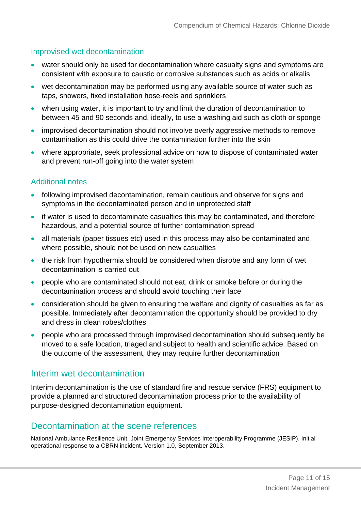#### Improvised wet decontamination

- water should only be used for decontamination where casualty signs and symptoms are consistent with exposure to caustic or corrosive substances such as acids or alkalis
- wet decontamination may be performed using any available source of water such as taps, showers, fixed installation hose-reels and sprinklers
- when using water, it is important to try and limit the duration of decontamination to between 45 and 90 seconds and, ideally, to use a washing aid such as cloth or sponge
- improvised decontamination should not involve overly aggressive methods to remove contamination as this could drive the contamination further into the skin
- where appropriate, seek professional advice on how to dispose of contaminated water and prevent run-off going into the water system

#### Additional notes

- following improvised decontamination, remain cautious and observe for signs and symptoms in the decontaminated person and in unprotected staff
- if water is used to decontaminate casualties this may be contaminated, and therefore hazardous, and a potential source of further contamination spread
- all materials (paper tissues etc) used in this process may also be contaminated and, where possible, should not be used on new casualties
- the risk from hypothermia should be considered when disrobe and any form of wet decontamination is carried out
- people who are contaminated should not eat, drink or smoke before or during the decontamination process and should avoid touching their face
- consideration should be given to ensuring the welfare and dignity of casualties as far as possible. Immediately after decontamination the opportunity should be provided to dry and dress in clean robes/clothes
- people who are processed through improvised decontamination should subsequently be moved to a safe location, triaged and subject to health and scientific advice. Based on the outcome of the assessment, they may require further decontamination

### Interim wet decontamination

Interim decontamination is the use of standard fire and rescue service (FRS) equipment to provide a planned and structured decontamination process prior to the availability of purpose-designed decontamination equipment.

### Decontamination at the scene references

National Ambulance Resilience Unit. Joint Emergency Services Interoperability Programme (JESIP). Initial operational response to a CBRN incident. Version 1.0, September 2013.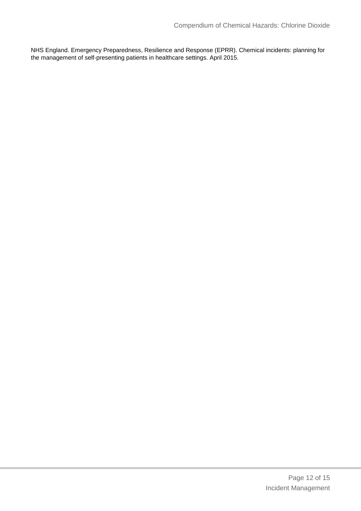NHS England. Emergency Preparedness, Resilience and Response (EPRR). Chemical incidents: planning for the management of self-presenting patients in healthcare settings. April 2015.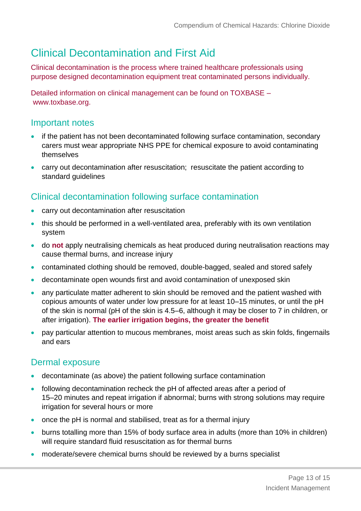# Clinical Decontamination and First Aid

Clinical decontamination is the process where trained healthcare professionals using purpose designed decontamination equipment treat contaminated persons individually.

Detailed information on clinical management can be found on TOXBASE – www.toxbase.org.

## Important notes

- if the patient has not been decontaminated following surface contamination, secondary carers must wear appropriate NHS PPE for chemical exposure to avoid contaminating themselves
- carry out decontamination after resuscitation; resuscitate the patient according to standard guidelines

## Clinical decontamination following surface contamination

- carry out decontamination after resuscitation
- this should be performed in a well-ventilated area, preferably with its own ventilation system
- do **not** apply neutralising chemicals as heat produced during neutralisation reactions may cause thermal burns, and increase injury
- contaminated clothing should be removed, double-bagged, sealed and stored safely
- decontaminate open wounds first and avoid contamination of unexposed skin
- any particulate matter adherent to skin should be removed and the patient washed with copious amounts of water under low pressure for at least 10–15 minutes, or until the pH of the skin is normal (pH of the skin is 4.5–6, although it may be closer to 7 in children, or after irrigation). **The earlier irrigation begins, the greater the benefit**
- pay particular attention to mucous membranes, moist areas such as skin folds, fingernails and ears

## Dermal exposure

- decontaminate (as above) the patient following surface contamination
- following decontamination recheck the pH of affected areas after a period of 15–20 minutes and repeat irrigation if abnormal; burns with strong solutions may require irrigation for several hours or more
- once the pH is normal and stabilised, treat as for a thermal injury
- burns totalling more than 15% of body surface area in adults (more than 10% in children) will require standard fluid resuscitation as for thermal burns
- moderate/severe chemical burns should be reviewed by a burns specialist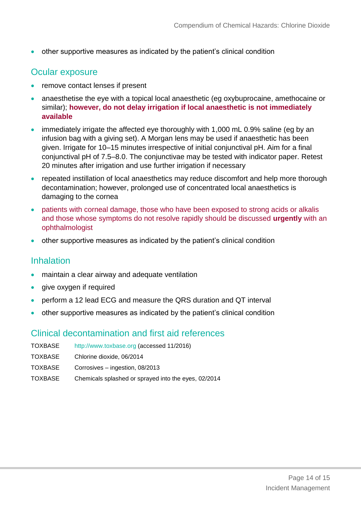other supportive measures as indicated by the patient's clinical condition

## Ocular exposure

- remove contact lenses if present
- anaesthetise the eye with a topical local anaesthetic (eg oxybuprocaine, amethocaine or similar); **however, do not delay irrigation if local anaesthetic is not immediately available**
- immediately irrigate the affected eye thoroughly with 1,000 mL 0.9% saline (eg by an infusion bag with a giving set). A Morgan lens may be used if anaesthetic has been given. Irrigate for 10–15 minutes irrespective of initial conjunctival pH. Aim for a final conjunctival pH of 7.5–8.0. The conjunctivae may be tested with indicator paper. Retest 20 minutes after irrigation and use further irrigation if necessary
- repeated instillation of local anaesthetics may reduce discomfort and help more thorough decontamination; however, prolonged use of concentrated local anaesthetics is damaging to the cornea
- patients with corneal damage, those who have been exposed to strong acids or alkalis and those whose symptoms do not resolve rapidly should be discussed **urgently** with an ophthalmologist
- other supportive measures as indicated by the patient's clinical condition

## Inhalation

- maintain a clear airway and adequate ventilation
- give oxygen if required
- perform a 12 lead ECG and measure the QRS duration and QT interval
- other supportive measures as indicated by the patient's clinical condition

## Clinical decontamination and first aid references

TOXBASE [http://www.toxbase.org](http://www.toxbase.org/) (accessed 11/2016) TOXBASE Chlorine dioxide, 06/2014 TOXBASE Corrosives – ingestion, 08/2013 TOXBASE Chemicals splashed or sprayed into the eyes, 02/2014